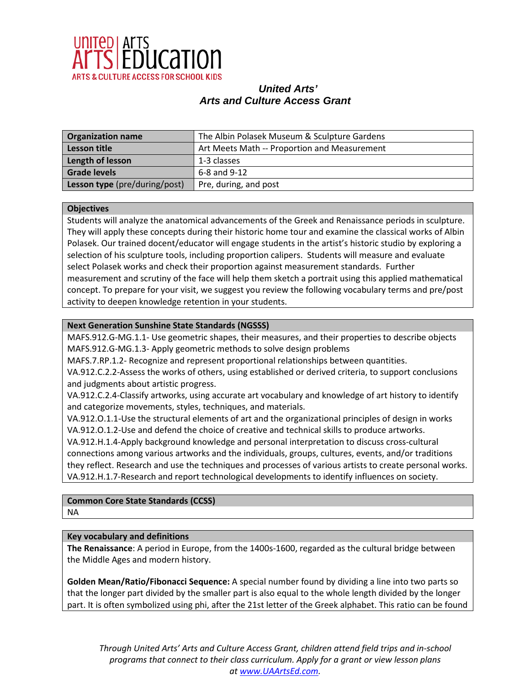

| <b>Organization name</b>      | The Albin Polasek Museum & Sculpture Gardens |
|-------------------------------|----------------------------------------------|
| <b>Lesson title</b>           | Art Meets Math -- Proportion and Measurement |
| Length of lesson              | 1-3 classes                                  |
| <b>Grade levels</b>           | 6-8 and 9-12                                 |
| Lesson type (pre/during/post) | Pre, during, and post                        |

### **Objectives**

Students will analyze the anatomical advancements of the Greek and Renaissance periods in sculpture. They will apply these concepts during their historic home tour and examine the classical works of Albin Polasek. Our trained docent/educator will engage students in the artist's historic studio by exploring a selection of his sculpture tools, including proportion calipers. Students will measure and evaluate select Polasek works and check their proportion against measurement standards. Further measurement and scrutiny of the face will help them sketch a portrait using this applied mathematical concept. To prepare for your visit, we suggest you review the following vocabulary terms and pre/post activity to deepen knowledge retention in your students.

## **Next Generation Sunshine State Standards (NGSSS)**

MAFS.912.G-MG.1.1- Use geometric shapes, their measures, and their properties to describe objects MAFS.912.G-MG.1.3- Apply geometric methods to solve design problems

MAFS.7.RP.1.2- Recognize and represent proportional relationships between quantities.

VA.912.C.2.2-Assess the works of others, using established or derived criteria, to support conclusions and judgments about artistic progress.

VA.912.C.2.4-Classify artworks, using accurate art vocabulary and knowledge of art history to identify and categorize movements, styles, techniques, and materials.

VA.912.O.1.1-Use the structural elements of art and the organizational principles of design in works VA.912.O.1.2-Use and defend the choice of creative and technical skills to produce artworks.

VA.912.H.1.4-Apply background knowledge and personal interpretation to discuss cross-cultural connections among various artworks and the individuals, groups, cultures, events, and/or traditions they reflect. Research and use the techniques and processes of various artists to create personal works. VA.912.H.1.7-Research and report technological developments to identify influences on society.

**Common Core State Standards (CCSS)** NA

### **Key vocabulary and definitions**

**The Renaissance**: A period in Europe, from the 1400s-1600, regarded as the cultural bridge between the Middle Ages and modern history.

**Golden Mean/Ratio/Fibonacci Sequence:** A special number found by dividing a line into two parts so that the longer part divided by the smaller part is also equal to the whole length divided by the longer part. It is often symbolized using phi, after the 21st letter of the Greek alphabet. This ratio can be found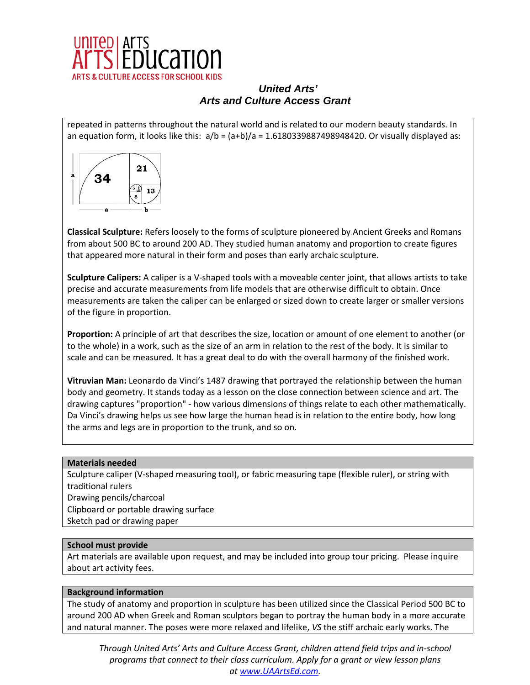

repeated in patterns throughout the natural world and is related to our modern beauty standards. In an equation form, it looks like this:  $a/b = (a+b)/a = 1.6180339887498948420$ . Or visually displayed as:



**Classical Sculpture:** Refers loosely to the forms of sculpture pioneered by Ancient Greeks and Romans from about 500 BC to around 200 AD. They studied human anatomy and proportion to create figures that appeared more natural in their form and poses than early archaic sculpture.

**Sculpture Calipers:** A caliper is a V-shaped tools with a moveable center joint, that allows artists to take precise and accurate measurements from life models that are otherwise difficult to obtain. Once measurements are taken the caliper can be enlarged or sized down to create larger or smaller versions of the figure in proportion.

**Proportion:** A principle of art that describes the size, location or amount of one element to another (or to the whole) in a work, such as the size of an arm in relation to the rest of the body. It is similar to scale and can be measured. It has a great deal to do with the overall harmony of the finished work.

**Vitruvian Man:** Leonardo da Vinci's 1487 drawing that portrayed the relationship between the human body and geometry. It stands today as a lesson on the close connection between science and art. The drawing captures "proportion" - how various dimensions of things relate to each other mathematically. Da Vinci's drawing helps us see how large the human head is in relation to the entire body, how long the arms and legs are in proportion to the trunk, and so on.

## **Materials needed**

Sculpture caliper (V-shaped measuring tool), or fabric measuring tape (flexible ruler), or string with traditional rulers Drawing pencils/charcoal Clipboard or portable drawing surface Sketch pad or drawing paper

### **School must provide**

Art materials are available upon request, and may be included into group tour pricing. Please inquire about art activity fees.

### **Background information**

The study of anatomy and proportion in sculpture has been utilized since the Classical Period 500 BC to around 200 AD when Greek and Roman sculptors began to portray the human body in a more accurate and natural manner. The poses were more relaxed and lifelike, *VS* the stiff archaic early works. The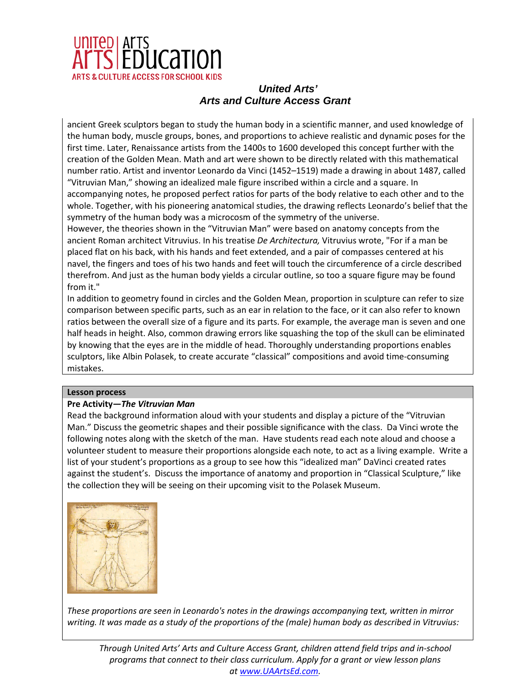

ancient Greek sculptors began to study the human body in a scientific manner, and used knowledge of the human body, muscle groups, bones, and proportions to achieve realistic and dynamic poses for the first time. Later, Renaissance artists from the 1400s to 1600 developed this concept further with the creation of the Golden Mean. Math and art were shown to be directly related with this mathematical number ratio. Artist and inventor Leonardo da Vinci (1452–1519) made a drawing in about 1487, called "Vitruvian Man," showing an idealized male figure inscribed within a circle and a square. In accompanying notes, he proposed perfect ratios for parts of the body relative to each other and to the

whole. Together, with his pioneering anatomical studies, the drawing reflects Leonardo's belief that the symmetry of the human body was a microcosm of the symmetry of the universe.

However, the theories shown in the "Vitruvian Man" were based on anatomy concepts from the ancient Roman architect Vitruvius. In his treatise *De Architectura,* Vitruvius wrote, "For if a man be placed flat on his back, with his hands and feet extended, and a pair of compasses centered at his navel, the fingers and toes of his two hands and feet will touch the circumference of a circle described therefrom. And just as the human body yields a circular outline, so too a square figure may be found from it."

In addition to geometry found in circles and the Golden Mean, proportion in sculpture can refer to size comparison between specific parts, such as an ear in relation to the face, or it can also refer to known ratios between the overall size of a figure and its parts. For example, the average man is seven and one half heads in height. Also, common drawing errors like squashing the top of the skull can be eliminated by knowing that the eyes are in the middle of head. Thoroughly understanding proportions enables sculptors, like Albin Polasek, to create accurate "classical" compositions and avoid time-consuming mistakes.

## **Lesson process**

## **Pre Activity—***The Vitruvian Man*

Read the background information aloud with your students and display a picture of the "Vitruvian Man." Discuss the geometric shapes and their possible significance with the class. Da Vinci wrote the following notes along with the sketch of the man. Have students read each note aloud and choose a volunteer student to measure their proportions alongside each note, to act as a living example. Write a list of your student's proportions as a group to see how this "idealized man" DaVinci created rates against the student's. Discuss the importance of anatomy and proportion in "Classical Sculpture," like the collection they will be seeing on their upcoming visit to the Polasek Museum.



*These proportions are seen in Leonardo's notes in the drawings accompanying text, written in mirror writing. It was made as a study of the proportions of the (male) human body as described in Vitruvius:*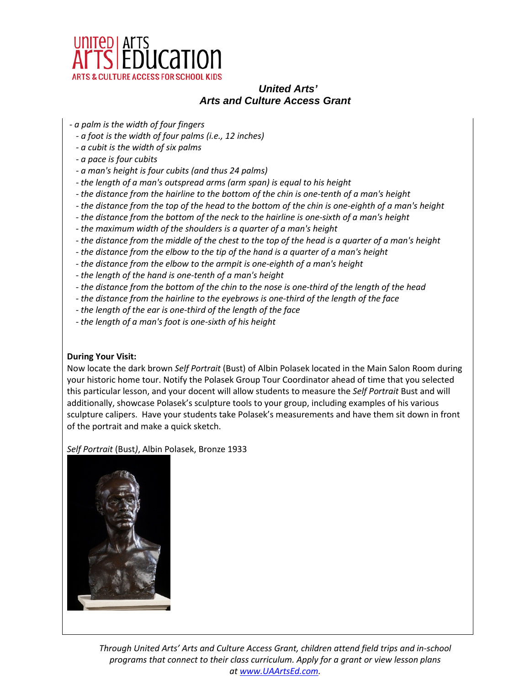

- *- a palm is the width of four fingers* 
	- *- a foot is the width of four palms (i.e., 12 inches)*
	- *- a cubit is the width of six palms*
	- *- a pace is four cubits*
	- *- a man's height is four cubits (and thus 24 palms)*
	- *- the length of a man's outspread arms (arm span) is equal to his height*
	- *- the distance from the hairline to the bottom of the chin is one-tenth of a man's height*
	- *- the distance from the top of the head to the bottom of the chin is one-eighth of a man's height*
	- *- the distance from the bottom of the neck to the hairline is one-sixth of a man's height*
	- *- the maximum width of the shoulders is a quarter of a man's height*
	- *- the distance from the middle of the chest to the top of the head is a quarter of a man's height*
	- *- the distance from the elbow to the tip of the hand is a quarter of a man's height*
	- *- the distance from the elbow to the armpit is one-eighth of a man's height*
	- *- the length of the hand is one-tenth of a man's height*
	- *- the distance from the bottom of the chin to the nose is one-third of the length of the head*
	- *- the distance from the hairline to the eyebrows is one-third of the length of the face*
	- *- the length of the ear is one-third of the length of the face*
	- *- the length of a man's foot is one-sixth of his height*

## **During Your Visit:**

Now locate the dark brown *Self Portrait* (Bust) of Albin Polasek located in the Main Salon Room during your historic home tour. Notify the Polasek Group Tour Coordinator ahead of time that you selected this particular lesson, and your docent will allow students to measure the *Self Portrait* Bust and will additionally, showcase Polasek's sculpture tools to your group, including examples of his various sculpture calipers. Have your students take Polasek's measurements and have them sit down in front of the portrait and make a quick sketch.

*Self Portrait* (Bust*)*, Albin Polasek, Bronze 1933

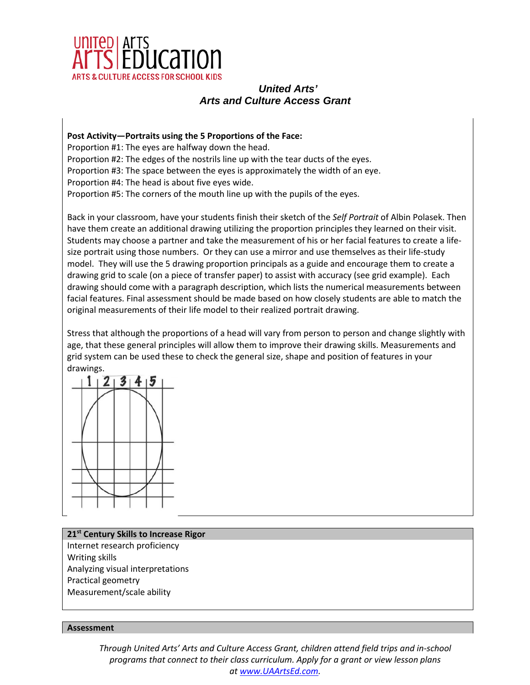

**Post Activity—Portraits using the 5 Proportions of the Face:**  Proportion #1: The eyes are halfway down the head. Proportion #2: The edges of the nostrils line up with the tear ducts of the eyes. Proportion #3: The space between the eyes is approximately the width of an eye. Proportion #4: The head is about five eyes wide. Proportion #5: The corners of the mouth line up with the pupils of the eyes.

Back in your classroom, have your students finish their sketch of the *Self Portrait* of Albin Polasek. Then have them create an additional drawing utilizing the proportion principles they learned on their visit. Students may choose a partner and take the measurement of his or her facial features to create a lifesize portrait using those numbers. Or they can use a mirror and use themselves as their life-study model. They will use the 5 drawing proportion principals as a guide and encourage them to create a drawing grid to scale (on a piece of transfer paper) to assist with accuracy (see grid example). Each drawing should come with a paragraph description, which lists the numerical measurements between facial features. Final assessment should be made based on how closely students are able to match the original measurements of their life model to their realized portrait drawing.

Stress that although the proportions of a head will vary from person to person and change slightly with age, that these general principles will allow them to improve their drawing skills. Measurements and grid system can be used these to check the general size, shape and position of features in your drawings.



### **21st Century Skills to Increase Rigor**

Internet research proficiency Writing skills Analyzing visual interpretations Practical geometry Measurement/scale ability

### **Assessment**